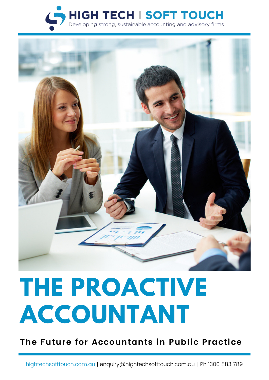



# **THE PROACTIVE ACCOUNTANT**

**The Future for Accountants in Public Practice**

[hightechsofttouch.com.au](http://hightechsofttouch.com.au/) | enquiry@hightechsofttouch.com.au | Ph 1300 883 789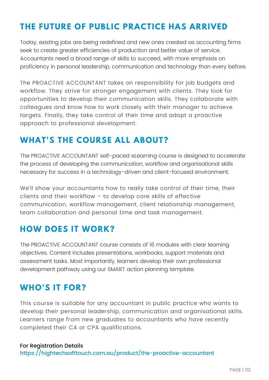## **THE FUTURE OF PUBLIC PRACTICE HAS ARRIVED**

Today, existing jobs are being redefined and new ones created as accounting firms seek to create greater efficiencies of production and better value of service. Accountants need a broad range of skills to succeed, with more emphasis on proficiency in personal leadership, communication and technology than every before.

The PROACTIVE ACCOUNTANT takes on responsibility for job budgets and workflow. They strive for stronger engagement with clients. They look for opportunities to develop their communication skills. They collaborate with colleagues and know how to work closely with their manager to achieve targets. Finally, they take control of their time and adopt a proactive approach to professional development.

## **WHAT'S THE COURSE ALL ABOUT?**

The PROACTIVE ACCOUNTANT self-paced eLearning course is designed to accelerate the process of developing the communication, workflow and organisational skills necessary for success in a technology-driven and client-focused environment.

We'll show your accountants how to really take control of their time, their clients and their workflow – to develop core skills of effective communication, workflow management, client relationship management, team collaboration and personal time and task management.

## **HOW DOES IT WORK?**

The PROACTIVE ACCOUNTANT course consists of 16 modules with clear learning objectives. Content includes [presentations,](http://www.hightechsofttouch.matrixlms.com/) workbooks, support materials and assessment tasks. Most importantly, learners develop their own professional development pathway using our SMART action planning template.

## **WHO'S IT FOR?**

This course is suitable for any accountant in public practice who wants to develop their personal leadership, communication and organisational skills. Learners range from new graduates to accountants who have recently completed their CA or CPA qualifications.

### For Registration Details <https://hightechsofttouch.com.au/product/the-proactive-accountant>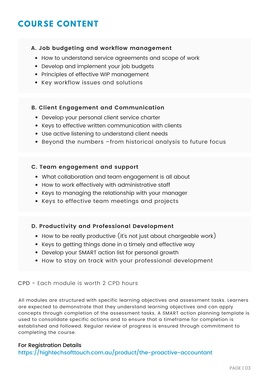## **COURSE CONTENT**

#### **A. Job budgeting and workflow management**

- How to understand service agreements and scope of work
- Develop and implement your job budgets
- Principles of effective WIP management
- Key workflow issues and solutions

#### **B. Client Engagement and Communication**

- Develop your personal client service charter
- Keys to effective written communication with clients
- Use active listening to understand client needs
- Beyond the numbers –from historical analysis to future focus

#### **C. Team engagement and support**

- What collaboration and team engagement is all about
- How to work effectively with administrative staff
- Keys to managing the relationship with your manager
- Keys to effective team meetings and projects

#### **D. Productivity and Professional Development**

- How to be really productive (it's not just about chargeable work)
- Keys to getting things done in a timely and effective way
- Develop your SMART action list for personal growth
- How to stay on track with your professional development

#### CPD - Each module is worth 2 CPD hours

All modules are structured with specific learning objectives and assessment tasks. Learners are expected to demonstrate that they understand learning objectives and can apply concepts through completion of the assessment tasks. A SMART action planning template is used to consolidate specific actions and to ensure that a timeframe for completion is established and followed. Regular review of progress is ensured through commitment to completing the course.

#### For Registration Details

#### <https://hightechsofttouch.com.au/product/the-proactive-accountant>